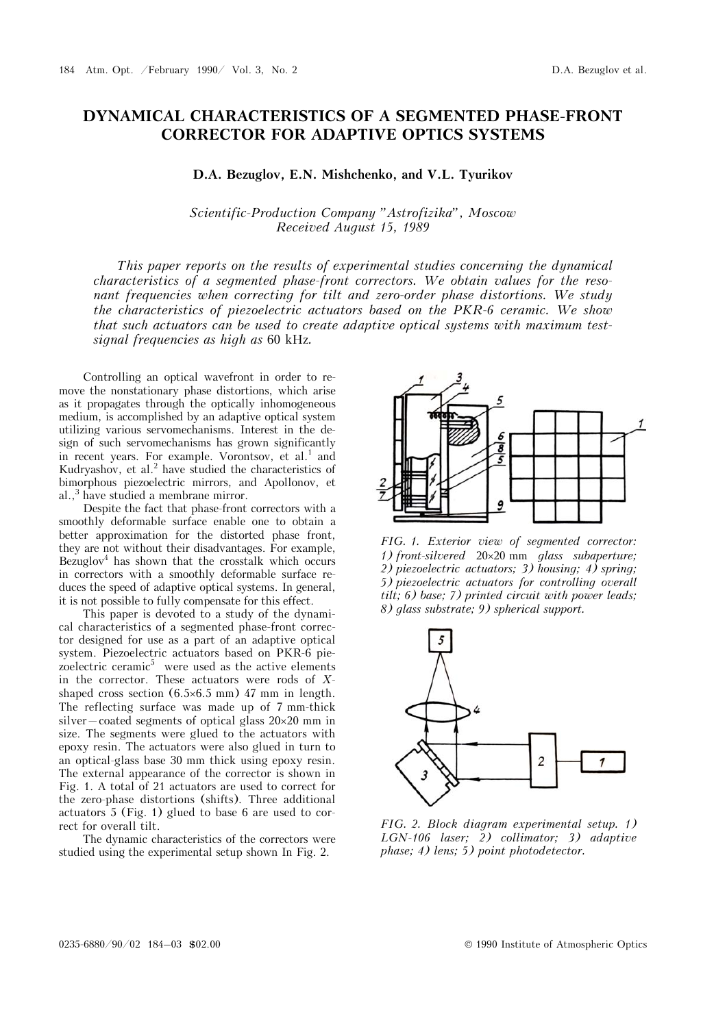## **DYNAMICAL CHARACTERISTICS OF A SEGMENTED PHASE-FRONT CORRECTOR FOR ADAPTIVE OPTICS SYSTEMS**

## **D.A. Bezuglov, E.N. Mishchenko, and V.L. Tyurikov**

## *Scientific-Production Company "Astrofizika", Moscow Received August 15, 1989*

*This paper reports on the results of experimental studies concerning the dynamical characteristics of a segmented phase-front correctors. We obtain values for the resonant frequencies when correcting for tilt and zero-order phase distortions. We study the characteristics of piezoelectric actuators based on the PKR-6 ceramic. We show that such actuators can be used to create adaptive optical systems with maximum testsignal frequencies as high as* 60 kHz*.* 

Controlling an optical wavefront in order to remove the nonstationary phase distortions, which arise as it propagates through the optically inhomogeneous medium, is accomplished by an adaptive optical system utilizing various servomechanisms. Interest in the design of such servomechanisms has grown significantly in recent years. For example. Vorontsov, et al.<sup>1</sup> and Kudryashov, et al. $^2$  have studied the characteristics of bimorphous piezoelectric mirrors, and Apollonov, et al.,<sup>3</sup> have studied a membrane mirror.

Despite the fact that phase-front correctors with a smoothly deformable surface enable one to obtain a better approximation for the distorted phase front, they are not without their disadvantages. For example, Bezuglov<sup>4</sup> has shown that the crosstalk which occurs in correctors with a smoothly deformable surface reduces the speed of adaptive optical systems. In general, it is not possible to fully compensate for this effect.

This paper is devoted to a study of the dynamical characteristics of a segmented phase-front corrector designed for use as a part of an adaptive optical system. Piezoelectric actuators based on PKR-6 piezoelectric ceramic<sup>5</sup> were used as the active elements in the corrector. These actuators were rods of *X*shaped cross section  $(6.5 \times 6.5 \text{ mm})$  47 mm in length. The reflecting surface was made up of 7 mm-thick silver—coated segments of optical glass  $20 \times 20$  mm in size. The segments were glued to the actuators with epoxy resin. The actuators were also glued in turn to an optical-glass base 30 mm thick using epoxy resin. The external appearance of the corrector is shown in Fig. 1. A total of 21 actuators are used to correct for the zero-phase distortions (shifts). Three additional actuators 5 (Fig. 1) glued to base 6 are used to correct for overall tilt.

The dynamic characteristics of the correctors were studied using the experimental setup shown In Fig. 2.



*FIG. 1. Exterior view of segmented corrector: 1) front-silvered* 2020 mm *glass subaperture; 2) piezoelectric actuators; 3) housing; 4) spring; 5) piezoelectric actuators for controlling overall tilt; 6) base; 7) printed circuit with power leads; 8) glass substrate; 9) spherical support.*



*FIG. 2. Block diagram experimental setup. 1) LGN-106 laser; 2) collimator; 3) adaptive phase; 4) lens; 5) point photodetector.*